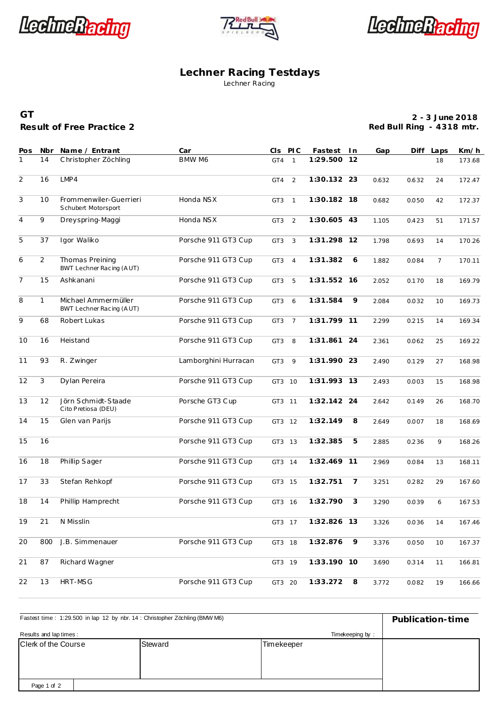



LechneRacting

## **Lechner Racing Testdays** Lechner Racing

## **Result of Free Practice 2 GT**

**2 - 3 June 2018 Red Bull Ring - 4318 mtr.**

| Pos            | Nbr            | Name / Entrant                                  | Car                  |                 | CIS PIC        | Fastest In  |                | Gap   |       | Diff Laps      | Km/h   |
|----------------|----------------|-------------------------------------------------|----------------------|-----------------|----------------|-------------|----------------|-------|-------|----------------|--------|
| 1              | 14             | Christopher Zöchling                            | BMW M6               | GT4             | $\mathbf{1}$   | 1:29.500 12 |                |       |       | 18             | 173.68 |
| $\overline{2}$ | 16             | LMP4                                            |                      | GT4             | 2              | 1:30.132 23 |                | 0.632 | 0.632 | 24             | 172.47 |
| 3              | 10             | Frommenwiler-Guerrieri<br>Schubert Motorsport   | Honda NSX            | GT <sub>3</sub> | $\mathbf{1}$   | 1:30.182 18 |                | 0.682 | 0.050 | 42             | 172.37 |
| $\overline{4}$ | 9              | Dreyspring-Maggi                                | Honda NSX            | GT <sub>3</sub> | 2              | 1:30.605 43 |                | 1.105 | 0.423 | 51             | 171.57 |
| 5              | 37             | Igor Waliko                                     | Porsche 911 GT3 Cup  | GT <sub>3</sub> | 3              | 1:31.298 12 |                | 1.798 | 0.693 | 14             | 170.26 |
| 6              | $\overline{2}$ | Thomas Preining<br>BWT Lechner Racing (AUT)     | Porsche 911 GT3 Cup  | GT3             | $\overline{4}$ | 1:31.382    | 6              | 1.882 | 0.084 | $\overline{7}$ | 170.11 |
| $\overline{7}$ | 15             | Ashkanani                                       | Porsche 911 GT3 Cup  | GT3             | 5              | 1:31.552 16 |                | 2.052 | 0.170 | 18             | 169.79 |
| 8              | $\mathbf{1}$   | Michael Ammermüller<br>BWT Lechner Racing (AUT) | Porsche 911 GT3 Cup  | GT3             | 6              | 1:31.584    | 9              | 2.084 | 0.032 | 10             | 169.73 |
| 9              | 68             | Robert Lukas                                    | Porsche 911 GT3 Cup  | GT <sub>3</sub> | $\overline{7}$ | 1:31.799 11 |                | 2.299 | 0.215 | 14             | 169.34 |
| 10             | 16             | Heistand                                        | Porsche 911 GT3 Cup  | GT3             | 8              | 1:31.861 24 |                | 2.361 | 0.062 | 25             | 169.22 |
| 11             | 93             | R. Zwinger                                      | Lamborghini Hurracan | GT3             | 9              | 1:31.990 23 |                | 2.490 | 0.129 | 27             | 168.98 |
| 12             | 3              | Dylan Pereira                                   | Porsche 911 GT3 Cup  | GT3 10          |                | 1:31.993 13 |                | 2.493 | 0.003 | 15             | 168.98 |
| 13             | 12             | Jörn Schmidt-Staade<br>Cito Pretiosa (DEU)      | Porsche GT3 Cup      | GT3 11          |                | 1:32.142 24 |                | 2.642 | 0.149 | 26             | 168.70 |
| 14             | 15             | Glen van Parijs                                 | Porsche 911 GT3 Cup  | GT3 12          |                | 1:32.149    | 8              | 2.649 | 0.007 | 18             | 168.69 |
| 15             | 16             |                                                 | Porsche 911 GT3 Cup  | GT3 13          |                | 1:32.385    | 5              | 2.885 | 0.236 | 9              | 168.26 |
| 16             | 18             | Phillip Sager                                   | Porsche 911 GT3 Cup  | GT3 14          |                | 1:32.469 11 |                | 2.969 | 0.084 | 13             | 168.11 |
| 17             | 33             | Stefan Rehkopf                                  | Porsche 911 GT3 Cup  | GT3 15          |                | 1:32.751    | $\overline{7}$ | 3.251 | 0.282 | 29             | 167.60 |
| 18             | 14             | Phillip Hamprecht                               | Porsche 911 GT3 Cup  | GT3 16          |                | 1:32.790    | 3              | 3.290 | 0.039 | 6              | 167.53 |
| 19             | 21             | N Misslin                                       |                      | GT3 17          |                | 1:32.826 13 |                | 3.326 | 0.036 | 14             | 167.46 |
| 20             | 800            | J.B. Simmenauer                                 | Porsche 911 GT3 Cup  | GT3 18          |                | 1:32.876    | 9              | 3.376 | 0.050 | 10             | 167.37 |
| 21             | 87             | Richard Wagner                                  |                      | GT3 19          |                | 1:33.190 10 |                | 3.690 | 0.314 | 11             | 166.81 |
| 22             | 13             | HRT-MSG                                         | Porsche 911 GT3 Cup  | GT3 20          |                | 1:33.272    | 8              | 3.772 | 0.082 | 19             | 166.66 |

| Fastest time: 1:29.500 in lap 12 by nbr. 14: Christopher Zöchling (BMW M6) | Publication-time |            |  |
|----------------------------------------------------------------------------|------------------|------------|--|
| Results and lap times:                                                     |                  |            |  |
| Clerk of the Course                                                        | Steward          | Timekeeper |  |
| Page 1 of 2                                                                |                  |            |  |